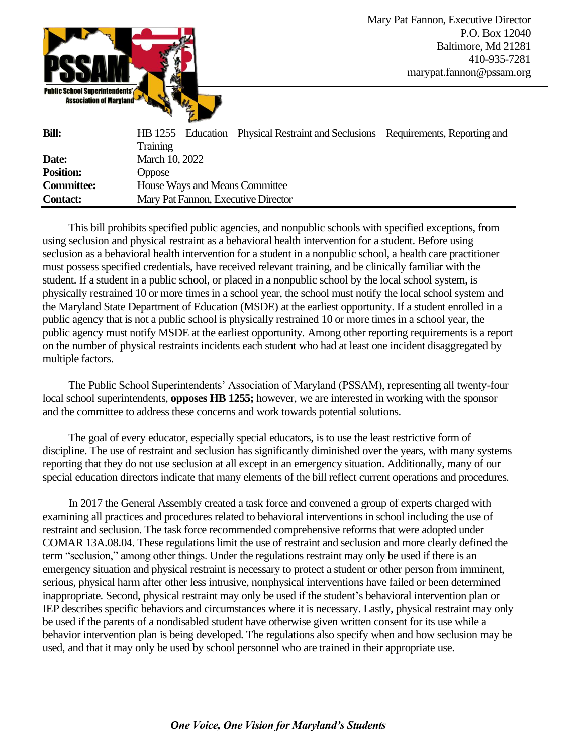

| <b>Bill:</b>      | HB 1255 – Education – Physical Restraint and Seclusions – Requirements, Reporting and |
|-------------------|---------------------------------------------------------------------------------------|
|                   | <b>Training</b>                                                                       |
| Date:             | March 10, 2022                                                                        |
| <b>Position:</b>  | Oppose                                                                                |
| <b>Committee:</b> | House Ways and Means Committee                                                        |
| <b>Contact:</b>   | Mary Pat Fannon, Executive Director                                                   |

This bill prohibits specified public agencies, and nonpublic schools with specified exceptions, from using seclusion and physical restraint as a behavioral health intervention for a student. Before using seclusion as a behavioral health intervention for a student in a nonpublic school, a health care practitioner must possess specified credentials, have received relevant training, and be clinically familiar with the student. If a student in a public school, or placed in a nonpublic school by the local school system, is physically restrained 10 or more times in a school year, the school must notify the local school system and the Maryland State Department of Education (MSDE) at the earliest opportunity. If a student enrolled in a public agency that is not a public school is physically restrained 10 or more times in a school year, the public agency must notify MSDE at the earliest opportunity. Among other reporting requirements is a report on the number of physical restraints incidents each student who had at least one incident disaggregated by multiple factors.

The Public School Superintendents' Association of Maryland (PSSAM), representing all twenty-four local school superintendents, **opposes HB 1255;** however, we are interested in working with the sponsor and the committee to address these concerns and work towards potential solutions.

The goal of every educator, especially special educators, is to use the least restrictive form of discipline. The use of restraint and seclusion has significantly diminished over the years, with many systems reporting that they do not use seclusion at all except in an emergency situation. Additionally, many of our special education directors indicate that many elements of the bill reflect current operations and procedures.

In 2017 the General Assembly created a task force and convened a group of experts charged with examining all practices and procedures related to behavioral interventions in school including the use of restraint and seclusion. The task force recommended comprehensive reforms that were adopted under COMAR 13A.08.04. These regulations limit the use of restraint and seclusion and more clearly defined the term "seclusion," among other things. Under the regulations restraint may only be used if there is an emergency situation and physical restraint is necessary to protect a student or other person from imminent, serious, physical harm after other less intrusive, nonphysical interventions have failed or been determined inappropriate. Second, physical restraint may only be used if the student's behavioral intervention plan or IEP describes specific behaviors and circumstances where it is necessary. Lastly, physical restraint may only be used if the parents of a nondisabled student have otherwise given written consent for its use while a behavior intervention plan is being developed. The regulations also specify when and how seclusion may be used, and that it may only be used by school personnel who are trained in their appropriate use.